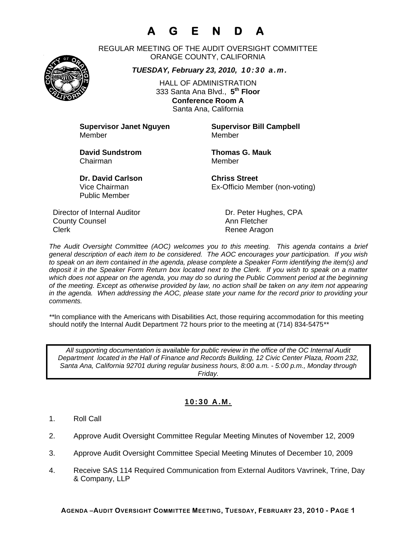# **A G E N D A**

REGULAR MEETING OF THE AUDIT OVERSIGHT COMMITTEE ORANGE COUNTY, CALIFORNIA

*TUESDAY, February 23, 2010, 10:30 a.m.*

HALL OF ADMINISTRATION 333 Santa Ana Blvd., **5th Floor Conference Room A**  Santa Ana, California

**Supervisor Janet Nguyen Supervisor Bill Campbell** Member Member

**David Sundstrom Thomas G. Mauk**  Chairman Member

**Dr. David Carlson Chriss Street** Vice Chairman Ex-Officio Member (non-voting)

Director of Internal Auditor Dr. Peter Hughes, CPA **County Counsel Countillist County Counsel Ann Fletcher** Clerk **Clerk** Renee Aragon

Public Member

*The Audit Oversight Committee (AOC) welcomes you to this meeting. This agenda contains a brief general description of each item to be considered. The AOC encourages your participation. If you wish to speak on an item contained in the agenda, please complete a Speaker Form identifying the item(s) and deposit it in the Speaker Form Return box located next to the Clerk. If you wish to speak on a matter which does not appear on the agenda, you may do so during the Public Comment period at the beginning of the meeting. Except as otherwise provided by law, no action shall be taken on any item not appearing in the agenda. When addressing the AOC, please state your name for the record prior to providing your comments.* 

*\*\**In compliance with the Americans with Disabilities Act, those requiring accommodation for this meeting should notify the Internal Audit Department 72 hours prior to the meeting at (714) 834-5475*\*\** 

*All supporting documentation is available for public review in the office of the OC Internal Audit Department located in the Hall of Finance and Records Building, 12 Civic Center Plaza, Room 232, Santa Ana, California 92701 during regular business hours, 8:00 a.m. - 5:00 p.m., Monday through Friday.* 

## **10:30 A.M.**

- 1. Roll Call
- 2. Approve Audit Oversight Committee Regular Meeting Minutes of November 12, 2009
- 3. Approve Audit Oversight Committee Special Meeting Minutes of December 10, 2009
- 4. Receive SAS 114 Required Communication from External Auditors Vavrinek, Trine, Day & Company, LLP